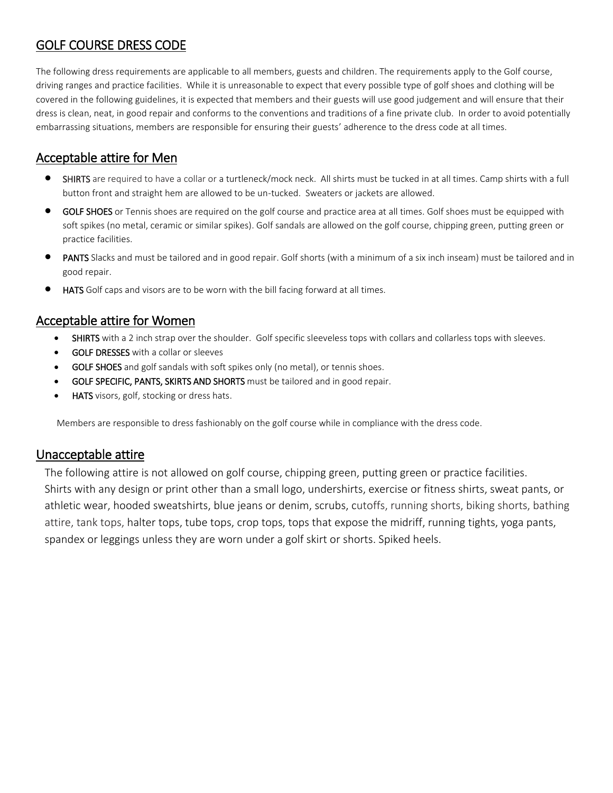# GOLF COURSE DRESS CODE

The following dress requirements are applicable to all members, guests and children. The requirements apply to the Golf course, driving ranges and practice facilities. While it is unreasonable to expect that every possible type of golf shoes and clothing will be covered in the following guidelines, it is expected that members and their guests will use good judgement and will ensure that their dress is clean, neat, in good repair and conforms to the conventions and traditions of a fine private club. In order to avoid potentially embarrassing situations, members are responsible for ensuring their guests' adherence to the dress code at all times.

## Acceptable attire for Men

- SHIRTS are required to have a collar or a turtleneck/mock neck. All shirts must be tucked in at all times. Camp shirts with a full button front and straight hem are allowed to be un-tucked. Sweaters or jackets are allowed.
- GOLF SHOES or Tennis shoes are required on the golf course and practice area at all times. Golf shoes must be equipped with soft spikes (no metal, ceramic or similar spikes). Golf sandals are allowed on the golf course, chipping green, putting green or practice facilities.
- PANTS Slacks and must be tailored and in good repair. Golf shorts (with a minimum of a six inch inseam) must be tailored and in good repair.
- **HATS** Golf caps and visors are to be worn with the bill facing forward at all times.

### Acceptable attire for Women

- SHIRTS with a 2 inch strap over the shoulder. Golf specific sleeveless tops with collars and collarless tops with sleeves.
- GOLF DRESSES with a collar or sleeves
- GOLF SHOES and golf sandals with soft spikes only (no metal), or tennis shoes.
- GOLF SPECIFIC, PANTS, SKIRTS AND SHORTS must be tailored and in good repair.
- HATS visors, golf, stocking or dress hats.

Members are responsible to dress fashionably on the golf course while in compliance with the dress code.

### Unacceptable attire

The following attire is not allowed on golf course, chipping green, putting green or practice facilities. Shirts with any design or print other than a small logo, undershirts, exercise or fitness shirts, sweat pants, or athletic wear, hooded sweatshirts, blue jeans or denim, scrubs, cutoffs, running shorts, biking shorts, bathing attire, tank tops, halter tops, tube tops, crop tops, tops that expose the midriff, running tights, yoga pants, spandex or leggings unless they are worn under a golf skirt or shorts. Spiked heels.